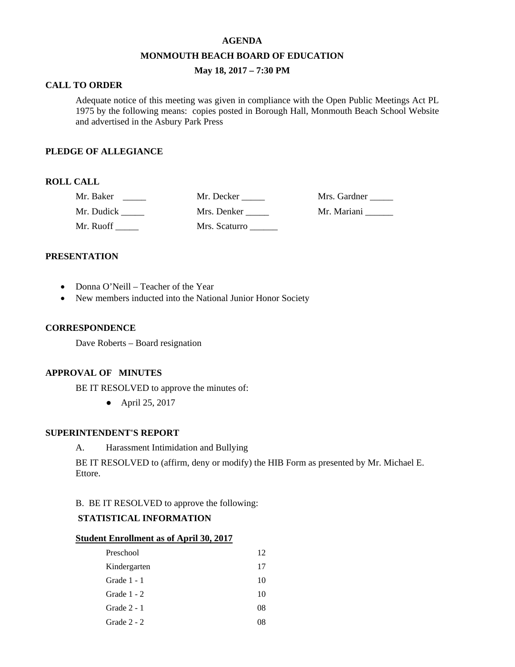#### **AGENDA**

#### **MONMOUTH BEACH BOARD OF EDUCATION**

# **May 18, 2017 – 7:30 PM**

## **CALL TO ORDER**

Adequate notice of this meeting was given in compliance with the Open Public Meetings Act PL 1975 by the following means: copies posted in Borough Hall, Monmouth Beach School Website and advertised in the Asbury Park Press

### **PLEDGE OF ALLEGIANCE**

# **ROLL CALL**

| Mr. Baker  | Mr. Decker    | Mrs. Gardner |
|------------|---------------|--------------|
| Mr. Dudick | Mrs. Denker   | Mr. Mariani  |
| Mr. Ruoff  | Mrs. Scaturro |              |

### **PRESENTATION**

- Donna O'Neill Teacher of the Year
- New members inducted into the National Junior Honor Society

#### **CORRESPONDENCE**

Dave Roberts – Board resignation

### **APPROVAL OF MINUTES**

BE IT RESOLVED to approve the minutes of:

● April 25, 2017

# **SUPERINTENDENT'S REPORT**

A. Harassment Intimidation and Bullying

BE IT RESOLVED to (affirm, deny or modify) the HIB Form as presented by Mr. Michael E. Ettore.

## B. BE IT RESOLVED to approve the following:

# **STATISTICAL INFORMATION**

#### **Student Enrollment as of April 30, 2017**

| Preschool     | 12 |
|---------------|----|
| Kindergarten  | 17 |
| Grade 1 - 1   | 10 |
| Grade $1 - 2$ | 10 |
| Grade $2 - 1$ | 08 |
| Grade $2 - 2$ |    |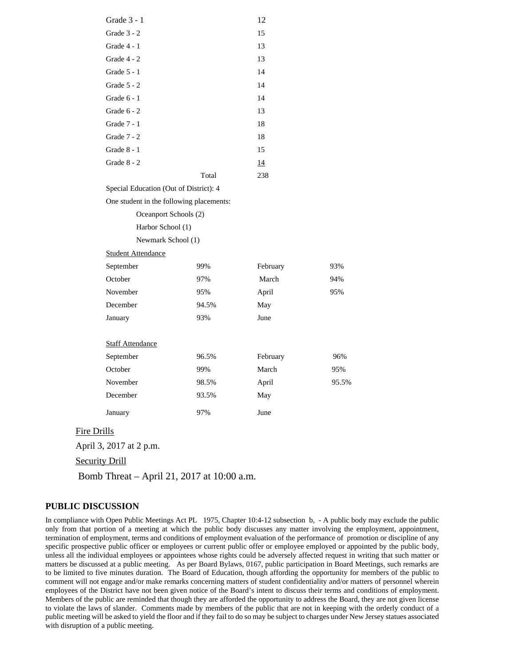|                    | Grade 3 - 1                              |       | 12       |       |
|--------------------|------------------------------------------|-------|----------|-------|
|                    | Grade 3 - 2                              |       | 15       |       |
|                    | Grade $4-1$                              |       | 13       |       |
|                    | Grade $4 - 2$                            |       | 13       |       |
|                    | Grade 5 - 1                              |       | 14       |       |
|                    | Grade $5 - 2$                            |       | 14       |       |
|                    | Grade 6 - 1                              |       | 14       |       |
|                    | Grade 6 - 2                              |       | 13       |       |
|                    | Grade 7 - 1                              |       | 18       |       |
|                    | Grade 7 - 2                              |       | 18       |       |
|                    | Grade $8-1$                              |       | 15       |       |
|                    | Grade $8 - 2$                            |       | 14       |       |
|                    |                                          | Total | 238      |       |
|                    | Special Education (Out of District): 4   |       |          |       |
|                    | One student in the following placements: |       |          |       |
|                    | Oceanport Schools (2)                    |       |          |       |
|                    | Harbor School (1)                        |       |          |       |
|                    | Newmark School (1)                       |       |          |       |
|                    | <b>Student Attendance</b>                |       |          |       |
|                    | September                                | 99%   | February | 93%   |
|                    | October                                  | 97%   | March    | 94%   |
|                    | November                                 | 95%   | April    | 95%   |
|                    | December                                 | 94.5% | May      |       |
|                    | January                                  | 93%   | June     |       |
|                    |                                          |       |          |       |
|                    | <b>Staff Attendance</b>                  |       |          |       |
|                    | September                                | 96.5% | February | 96%   |
|                    | October                                  | 99%   | March    | 95%   |
|                    | November                                 | 98.5% | April    | 95.5% |
|                    | December                                 | 93.5% | May      |       |
|                    | January                                  | 97%   | June     |       |
| <b>Fire Drills</b> |                                          |       |          |       |

April 3, 2017 at 2 p.m.

Security Drill

Bomb Threat – April 21, 2017 at 10:00 a.m.

#### **PUBLIC DISCUSSION**

In compliance with Open Public Meetings Act PL 1975, Chapter 10:4-12 subsection b, - A public body may exclude the public only from that portion of a meeting at which the public body discusses any matter involving the employment, appointment, termination of employment, terms and conditions of employment evaluation of the performance of promotion or discipline of any specific prospective public officer or employees or current public offer or employee employed or appointed by the public body, unless all the individual employees or appointees whose rights could be adversely affected request in writing that such matter or matters be discussed at a public meeting. As per Board Bylaws, 0167, public participation in Board Meetings, such remarks are to be limited to five minutes duration. The Board of Education, though affording the opportunity for members of the public to comment will not engage and/or make remarks concerning matters of student confidentiality and/or matters of personnel wherein employees of the District have not been given notice of the Board's intent to discuss their terms and conditions of employment. Members of the public are reminded that though they are afforded the opportunity to address the Board, they are not given license to violate the laws of slander. Comments made by members of the public that are not in keeping with the orderly conduct of a public meeting will be asked to yield the floor and if they fail to do so may be subject to charges under New Jersey statues associated with disruption of a public meeting.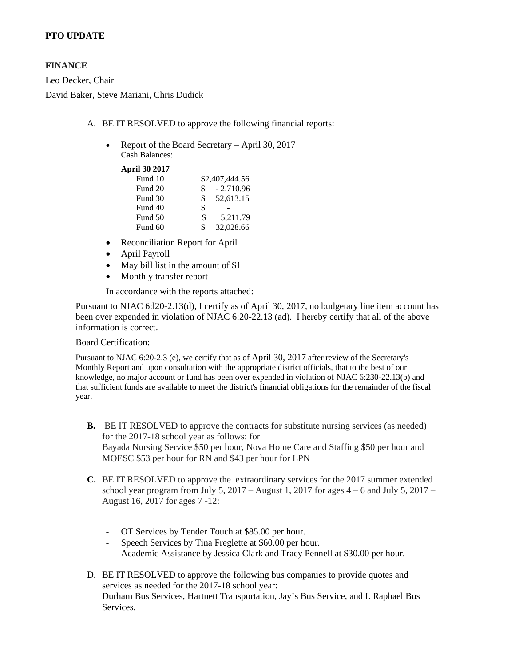# **PTO UPDATE**

# **FINANCE**

Leo Decker, Chair David Baker, Steve Mariani, Chris Dudick

- A. BE IT RESOLVED to approve the following financial reports:
	- Report of the Board Secretary April 30, 2017 Cash Balances:

**April 30 2017**

| Fund 10 |     | \$2,407,444.56 |
|---------|-----|----------------|
| Fund 20 | \$. | $-2.710.96$    |
| Fund 30 | \$  | 52,613.15      |
| Fund 40 | \$  |                |
| Fund 50 | \$  | 5.211.79       |
| Fund 60 | \$  | 32,028.66      |
|         |     |                |

- Reconciliation Report for April
- April Payroll
- May bill list in the amount of \$1
- Monthly transfer report

In accordance with the reports attached:

Pursuant to NJAC 6:l20-2.13(d), I certify as of April 30, 2017, no budgetary line item account has been over expended in violation of NJAC 6:20-22.13 (ad). I hereby certify that all of the above information is correct.

### Board Certification:

Pursuant to NJAC 6:20-2.3 (e), we certify that as of April 30, 2017 after review of the Secretary's Monthly Report and upon consultation with the appropriate district officials, that to the best of our knowledge, no major account or fund has been over expended in violation of NJAC 6:230-22.13(b) and that sufficient funds are available to meet the district's financial obligations for the remainder of the fiscal year.

- **B.** BE IT RESOLVED to approve the contracts for substitute nursing services (as needed) for the 2017-18 school year as follows: for Bayada Nursing Service \$50 per hour, Nova Home Care and Staffing \$50 per hour and MOESC \$53 per hour for RN and \$43 per hour for LPN
- **C.** BE IT RESOLVED to approve the extraordinary services for the 2017 summer extended school year program from July 5, 2017 – August 1, 2017 for ages  $4 - 6$  and July 5, 2017 – August 16, 2017 for ages 7 -12:
	- OT Services by Tender Touch at \$85.00 per hour.
	- Speech Services by Tina Freglette at \$60.00 per hour.
	- Academic Assistance by Jessica Clark and Tracy Pennell at \$30.00 per hour.
- D. BE IT RESOLVED to approve the following bus companies to provide quotes and services as needed for the 2017-18 school year: Durham Bus Services, Hartnett Transportation, Jay's Bus Service, and I. Raphael Bus Services.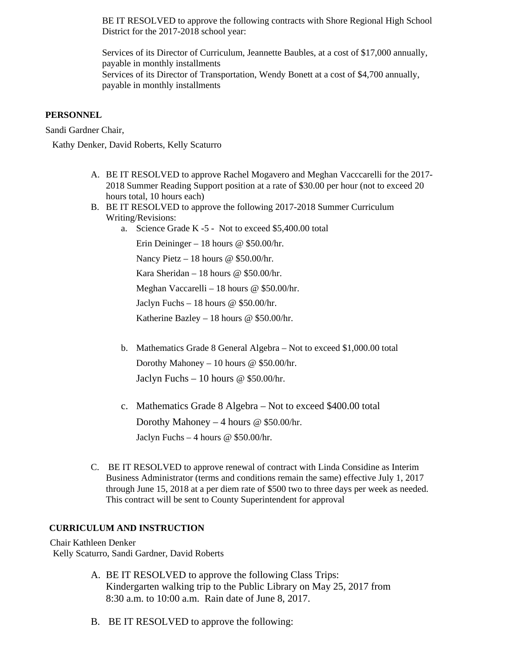BE IT RESOLVED to approve the following contracts with Shore Regional High School District for the 2017-2018 school year:

Services of its Director of Curriculum, Jeannette Baubles, at a cost of \$17,000 annually, payable in monthly installments Services of its Director of Transportation, Wendy Bonett at a cost of \$4,700 annually, payable in monthly installments

## **PERSONNEL**

Sandi Gardner Chair,

Kathy Denker, David Roberts, Kelly Scaturro

- A. BE IT RESOLVED to approve Rachel Mogavero and Meghan Vacccarelli for the 2017- 2018 Summer Reading Support position at a rate of \$30.00 per hour (not to exceed 20 hours total, 10 hours each)
- B. BE IT RESOLVED to approve the following 2017-2018 Summer Curriculum Writing/Revisions:
	- a. Science Grade K -5 Not to exceed \$5,400.00 total

Erin Deininger – 18 hours @ \$50.00/hr.

Nancy Pietz – 18 hours @ \$50.00/hr.

Kara Sheridan – 18 hours @ \$50.00/hr.

Meghan Vaccarelli – 18 hours @ \$50.00/hr.

Jaclyn Fuchs – 18 hours  $\omega$  \$50.00/hr.

Katherine Bazley – 18 hours @ \$50.00/hr.

- b. Mathematics Grade 8 General Algebra Not to exceed \$1,000.00 total Dorothy Mahoney – 10 hours @ \$50.00/hr. Jaclyn Fuchs – 10 hours  $\omega$  \$50.00/hr.
- c. Mathematics Grade 8 Algebra Not to exceed \$400.00 total Dorothy Mahoney – 4 hours @ \$50.00/hr. Jaclyn Fuchs – 4 hours  $\omega$  \$50.00/hr.
- C. BE IT RESOLVED to approve renewal of contract with Linda Considine as Interim Business Administrator (terms and conditions remain the same) effective July 1, 2017 through June 15, 2018 at a per diem rate of \$500 two to three days per week as needed. This contract will be sent to County Superintendent for approval

# **CURRICULUM AND INSTRUCTION**

Chair Kathleen Denker Kelly Scaturro, Sandi Gardner, David Roberts

- A. BE IT RESOLVED to approve the following Class Trips: Kindergarten walking trip to the Public Library on May 25, 2017 from 8:30 a.m. to 10:00 a.m. Rain date of June 8, 2017.
- B. BE IT RESOLVED to approve the following: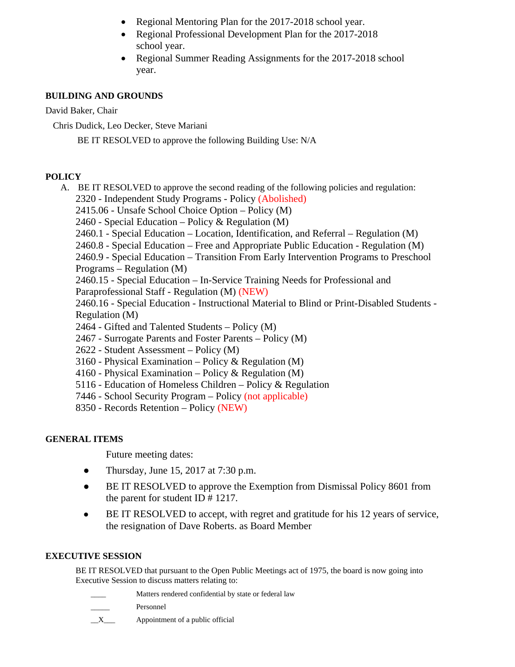- Regional Mentoring Plan for the 2017-2018 school year.
- Regional Professional Development Plan for the 2017-2018 school year.
- Regional Summer Reading Assignments for the 2017-2018 school year.

# **BUILDING AND GROUNDS**

David Baker, Chair

Chris Dudick, Leo Decker, Steve Mariani

BE IT RESOLVED to approve the following Building Use: N/A

# **POLICY**

A. BE IT RESOLVED to approve the second reading of the following policies and regulation: 2320 - Independent Study Programs - Policy (Abolished) 2415.06 - Unsafe School Choice Option – Policy (M) 2460 - Special Education – Policy & Regulation (M) 2460.1 - Special Education – Location, Identification, and Referral – Regulation (M) 2460.8 - Special Education – Free and Appropriate Public Education - Regulation (M) 2460.9 - Special Education – Transition From Early Intervention Programs to Preschool

Programs – Regulation (M)

2460.15 - Special Education – In-Service Training Needs for Professional and Paraprofessional Staff - Regulation (M) (NEW)

2460.16 - Special Education - Instructional Material to Blind or Print-Disabled Students - Regulation (M)

- 2464 Gifted and Talented Students Policy (M)
- 2467 Surrogate Parents and Foster Parents Policy (M)
- 2622 Student Assessment Policy (M)
- 3160 Physical Examination Policy & Regulation (M)
- 4160 Physical Examination Policy & Regulation (M)
- 5116 Education of Homeless Children Policy & Regulation
- 7446 School Security Program Policy (not applicable)
- 8350 Records Retention Policy (NEW)

# **GENERAL ITEMS**

Future meeting dates:

- Thursday, June 15, 2017 at  $7:30$  p.m.
- BE IT RESOLVED to approve the Exemption from Dismissal Policy 8601 from the parent for student ID # 1217.
- BE IT RESOLVED to accept, with regret and gratitude for his 12 years of service, the resignation of Dave Roberts. as Board Member

# **EXECUTIVE SESSION**

BE IT RESOLVED that pursuant to the Open Public Meetings act of 1975, the board is now going into Executive Session to discuss matters relating to:

- Matters rendered confidential by state or federal law
- Personnel



 $X$  Appointment of a public official